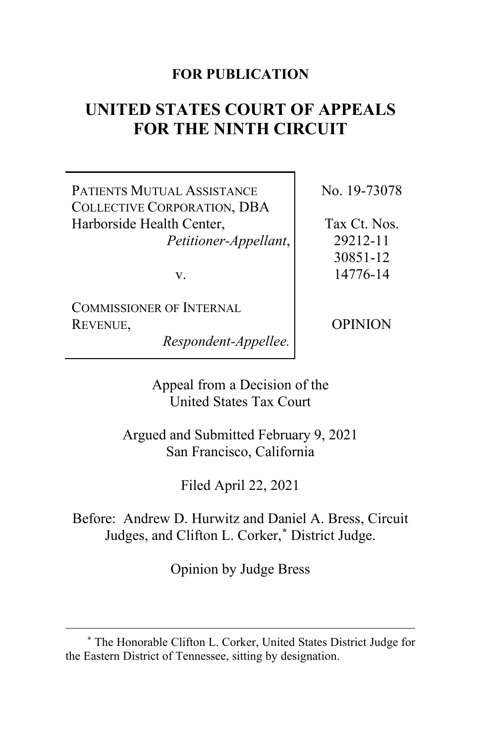# **FOR PUBLICATION**

# **UNITED STATES COURT OF APPEALS FOR THE NINTH CIRCUIT**

PATIENTS MUTUAL ASSISTANCE COLLECTIVE CORPORATION, DBA Harborside Health Center, *Petitioner-Appellant*,

v.

COMMISSIONER OF INTERNAL REVENUE,

*Respondent-Appellee.*

No. 19-73078

Tax Ct. Nos. 29212-11 30851-12 14776-14

OPINION

Appeal from a Decision of the United States Tax Court

Argued and Submitted February 9, 2021 San Francisco, California

Filed April 22, 2021

Before: Andrew D. Hurwitz and Daniel A. Bress, Circuit Judges, and Clifton L. Corker,**[\\*](#page-0-0)** District Judge.

Opinion by Judge Bress

<span id="page-0-0"></span>**<sup>\*</sup>** The Honorable Clifton L. Corker, United States District Judge for the Eastern District of Tennessee, sitting by designation.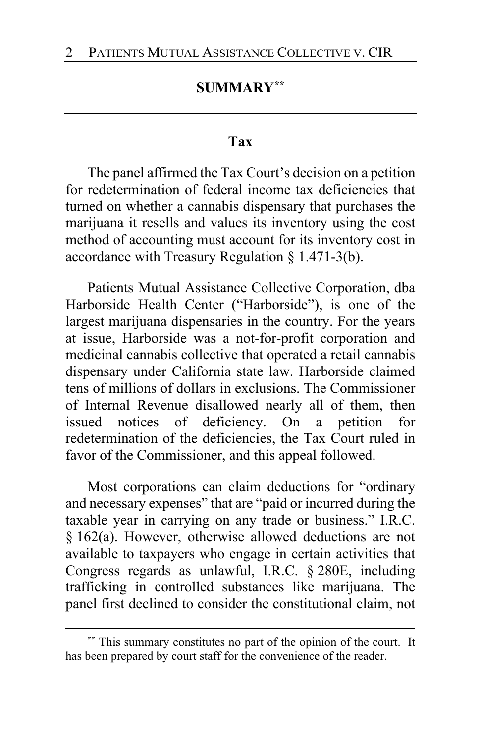# **SUMMARY[\\*\\*](#page-1-0)**

### **Tax**

The panel affirmed the Tax Court's decision on a petition for redetermination of federal income tax deficiencies that turned on whether a cannabis dispensary that purchases the marijuana it resells and values its inventory using the cost method of accounting must account for its inventory cost in accordance with Treasury Regulation § 1.471-3(b).

Patients Mutual Assistance Collective Corporation, dba Harborside Health Center ("Harborside"), is one of the largest marijuana dispensaries in the country. For the years at issue, Harborside was a not-for-profit corporation and medicinal cannabis collective that operated a retail cannabis dispensary under California state law. Harborside claimed tens of millions of dollars in exclusions. The Commissioner of Internal Revenue disallowed nearly all of them, then issued notices of deficiency. On a petition for redetermination of the deficiencies, the Tax Court ruled in favor of the Commissioner, and this appeal followed.

Most corporations can claim deductions for "ordinary and necessary expenses" that are "paid or incurred during the taxable year in carrying on any trade or business." I.R.C. § 162(a). However, otherwise allowed deductions are not available to taxpayers who engage in certain activities that Congress regards as unlawful, I.R.C. § 280E, including trafficking in controlled substances like marijuana. The panel first declined to consider the constitutional claim, not

<span id="page-1-0"></span>**<sup>\*\*</sup>** This summary constitutes no part of the opinion of the court. It has been prepared by court staff for the convenience of the reader.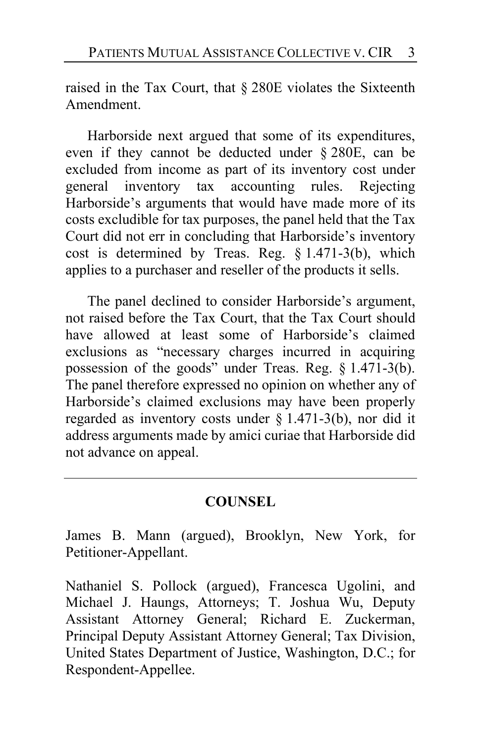raised in the Tax Court, that § 280E violates the Sixteenth Amendment.

Harborside next argued that some of its expenditures, even if they cannot be deducted under § 280E, can be excluded from income as part of its inventory cost under general inventory tax accounting rules. Rejecting Harborside's arguments that would have made more of its costs excludible for tax purposes, the panel held that the Tax Court did not err in concluding that Harborside's inventory cost is determined by Treas. Reg. § 1.471-3(b), which applies to a purchaser and reseller of the products it sells.

The panel declined to consider Harborside's argument, not raised before the Tax Court, that the Tax Court should have allowed at least some of Harborside's claimed exclusions as "necessary charges incurred in acquiring possession of the goods" under Treas. Reg. § 1.471-3(b). The panel therefore expressed no opinion on whether any of Harborside's claimed exclusions may have been properly regarded as inventory costs under § 1.471-3(b), nor did it address arguments made by amici curiae that Harborside did not advance on appeal.

# **COUNSEL**

James B. Mann (argued), Brooklyn, New York, for Petitioner-Appellant.

Nathaniel S. Pollock (argued), Francesca Ugolini, and Michael J. Haungs, Attorneys; T. Joshua Wu, Deputy Assistant Attorney General; Richard E. Zuckerman, Principal Deputy Assistant Attorney General; Tax Division, United States Department of Justice, Washington, D.C.; for Respondent-Appellee.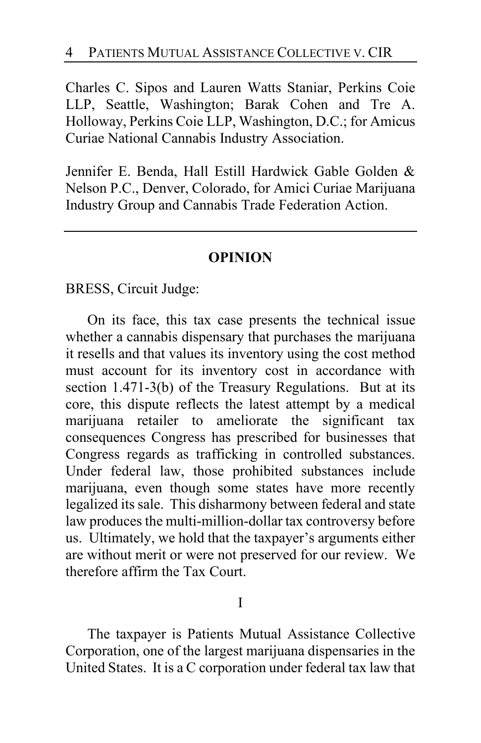Charles C. Sipos and Lauren Watts Staniar, Perkins Coie LLP, Seattle, Washington; Barak Cohen and Tre A. Holloway, Perkins Coie LLP, Washington, D.C.; for Amicus Curiae National Cannabis Industry Association.

Jennifer E. Benda, Hall Estill Hardwick Gable Golden & Nelson P.C., Denver, Colorado, for Amici Curiae Marijuana Industry Group and Cannabis Trade Federation Action.

### **OPINION**

BRESS, Circuit Judge:

On its face, this tax case presents the technical issue whether a cannabis dispensary that purchases the marijuana it resells and that values its inventory using the cost method must account for its inventory cost in accordance with section 1.471-3(b) of the Treasury Regulations. But at its core, this dispute reflects the latest attempt by a medical marijuana retailer to ameliorate the significant tax consequences Congress has prescribed for businesses that Congress regards as trafficking in controlled substances. Under federal law, those prohibited substances include marijuana, even though some states have more recently legalized its sale. This disharmony between federal and state law produces the multi-million-dollar tax controversy before us. Ultimately, we hold that the taxpayer's arguments either are without merit or were not preserved for our review. We therefore affirm the Tax Court.

I

The taxpayer is Patients Mutual Assistance Collective Corporation, one of the largest marijuana dispensaries in the United States. It is a C corporation under federal tax law that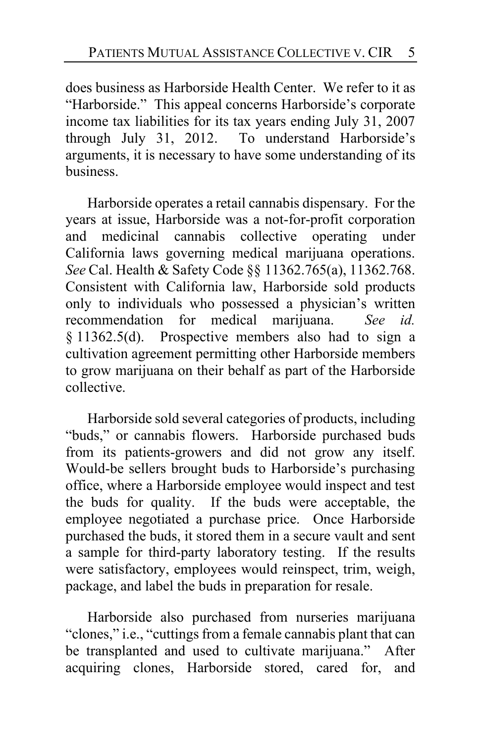does business as Harborside Health Center. We refer to it as "Harborside." This appeal concerns Harborside's corporate income tax liabilities for its tax years ending July 31, 2007 through July 31, 2012. To understand Harborside's arguments, it is necessary to have some understanding of its business.

Harborside operates a retail cannabis dispensary. For the years at issue, Harborside was a not-for-profit corporation and medicinal cannabis collective operating under California laws governing medical marijuana operations. *See* Cal. Health & Safety Code §§ 11362.765(a), 11362.768. Consistent with California law, Harborside sold products only to individuals who possessed a physician's written recommendation for medical marijuana. *See id.* § 11362.5(d). Prospective members also had to sign a cultivation agreement permitting other Harborside members to grow marijuana on their behalf as part of the Harborside collective.

Harborside sold several categories of products, including "buds," or cannabis flowers. Harborside purchased buds from its patients-growers and did not grow any itself. Would-be sellers brought buds to Harborside's purchasing office, where a Harborside employee would inspect and test the buds for quality. If the buds were acceptable, the employee negotiated a purchase price. Once Harborside purchased the buds, it stored them in a secure vault and sent a sample for third-party laboratory testing. If the results were satisfactory, employees would reinspect, trim, weigh, package, and label the buds in preparation for resale.

Harborside also purchased from nurseries marijuana "clones," i.e., "cuttings from a female cannabis plant that can be transplanted and used to cultivate marijuana." After acquiring clones, Harborside stored, cared for, and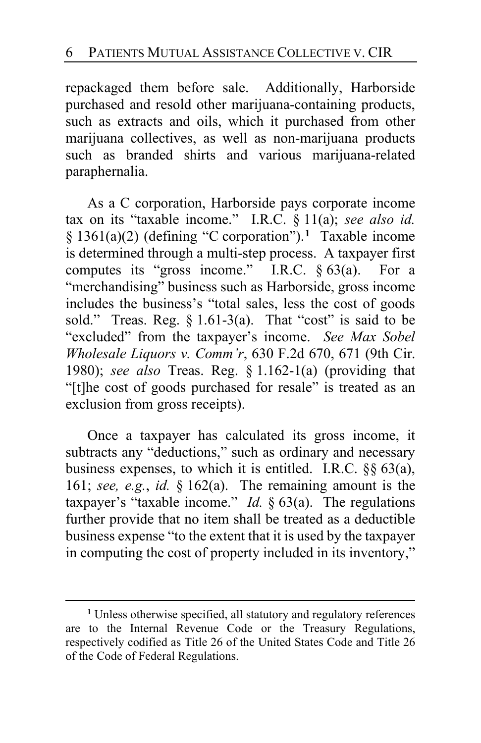repackaged them before sale. Additionally, Harborside purchased and resold other marijuana-containing products, such as extracts and oils, which it purchased from other marijuana collectives, as well as non-marijuana products such as branded shirts and various marijuana-related paraphernalia.

As a C corporation, Harborside pays corporate income tax on its "taxable income." I.R.C. § 11(a); *see also id.* § 1361(a)(2) (defining "C corporation").**[1](#page-5-0)** Taxable income is determined through a multi-step process. A taxpayer first computes its "gross income." I.R.C. § 63(a). For a "merchandising" business such as Harborside, gross income includes the business's "total sales, less the cost of goods sold." Treas. Reg.  $\S 1.61-3(a)$ . That "cost" is said to be "excluded" from the taxpayer's income. *See Max Sobel Wholesale Liquors v. Comm'r*, 630 F.2d 670, 671 (9th Cir. 1980); *see also* Treas. Reg. § 1.162-1(a) (providing that "[t]he cost of goods purchased for resale" is treated as an exclusion from gross receipts).

Once a taxpayer has calculated its gross income, it subtracts any "deductions," such as ordinary and necessary business expenses, to which it is entitled. I.R.C. §§ 63(a), 161; *see, e.g.*, *id.* § 162(a). The remaining amount is the taxpayer's "taxable income." *Id.* § 63(a). The regulations further provide that no item shall be treated as a deductible business expense "to the extent that it is used by the taxpayer in computing the cost of property included in its inventory,"

<span id="page-5-0"></span>**<sup>1</sup>** Unless otherwise specified, all statutory and regulatory references are to the Internal Revenue Code or the Treasury Regulations, respectively codified as Title 26 of the United States Code and Title 26 of the Code of Federal Regulations.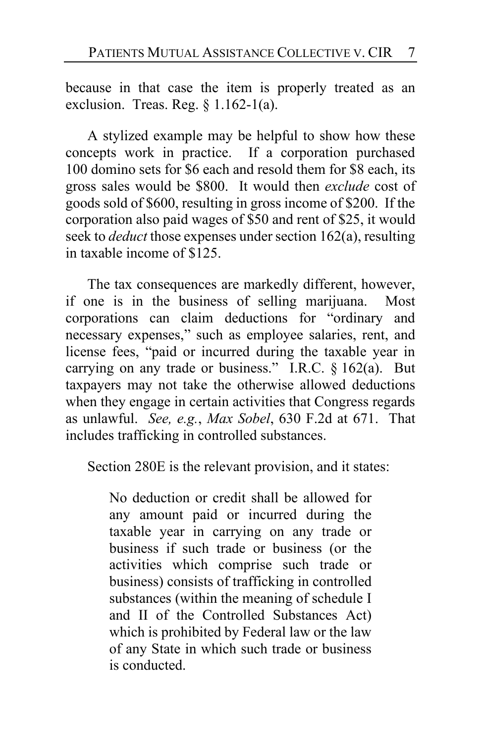because in that case the item is properly treated as an exclusion. Treas. Reg.  $\frac{1.162 - 1}{a}$ .

A stylized example may be helpful to show how these concepts work in practice. If a corporation purchased 100 domino sets for \$6 each and resold them for \$8 each, its gross sales would be \$800. It would then *exclude* cost of goods sold of \$600, resulting in gross income of \$200. If the corporation also paid wages of \$50 and rent of \$25, it would seek to *deduct* those expenses under section 162(a), resulting in taxable income of \$125.

The tax consequences are markedly different, however, if one is in the business of selling marijuana. Most corporations can claim deductions for "ordinary and necessary expenses," such as employee salaries, rent, and license fees, "paid or incurred during the taxable year in carrying on any trade or business." I.R.C. § 162(a). But taxpayers may not take the otherwise allowed deductions when they engage in certain activities that Congress regards as unlawful. *See, e.g.*, *Max Sobel*, 630 F.2d at 671. That includes trafficking in controlled substances.

Section 280E is the relevant provision, and it states:

No deduction or credit shall be allowed for any amount paid or incurred during the taxable year in carrying on any trade or business if such trade or business (or the activities which comprise such trade or business) consists of trafficking in controlled substances (within the meaning of schedule I and II of the Controlled Substances Act) which is prohibited by Federal law or the law of any State in which such trade or business is conducted.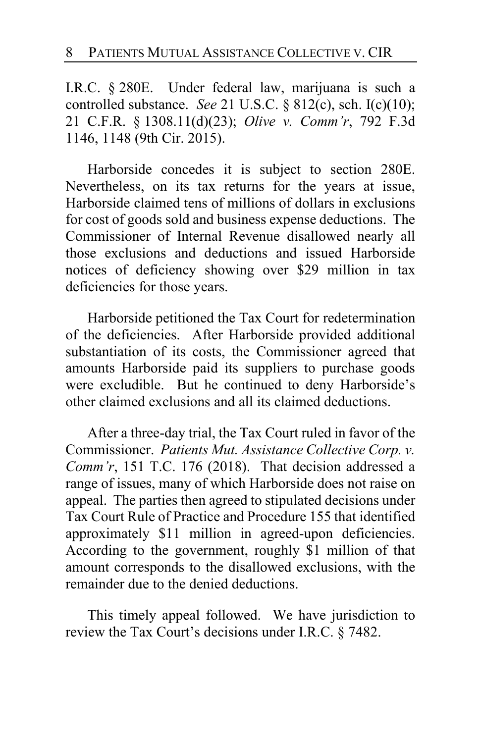I.R.C. § 280E. Under federal law, marijuana is such a controlled substance. *See* 21 U.S.C. § 812(c), sch. I(c)(10); 21 C.F.R. § 1308.11(d)(23); *Olive v. Comm'r*, 792 F.3d 1146, 1148 (9th Cir. 2015).

Harborside concedes it is subject to section 280E. Nevertheless, on its tax returns for the years at issue, Harborside claimed tens of millions of dollars in exclusions for cost of goods sold and business expense deductions. The Commissioner of Internal Revenue disallowed nearly all those exclusions and deductions and issued Harborside notices of deficiency showing over \$29 million in tax deficiencies for those years.

Harborside petitioned the Tax Court for redetermination of the deficiencies. After Harborside provided additional substantiation of its costs, the Commissioner agreed that amounts Harborside paid its suppliers to purchase goods were excludible. But he continued to deny Harborside's other claimed exclusions and all its claimed deductions.

After a three-day trial, the Tax Court ruled in favor of the Commissioner. *Patients Mut. Assistance Collective Corp. v. Comm'r*, 151 T.C. 176 (2018). That decision addressed a range of issues, many of which Harborside does not raise on appeal. The parties then agreed to stipulated decisions under Tax Court Rule of Practice and Procedure 155 that identified approximately \$11 million in agreed-upon deficiencies. According to the government, roughly \$1 million of that amount corresponds to the disallowed exclusions, with the remainder due to the denied deductions.

This timely appeal followed. We have jurisdiction to review the Tax Court's decisions under I.R.C. § 7482.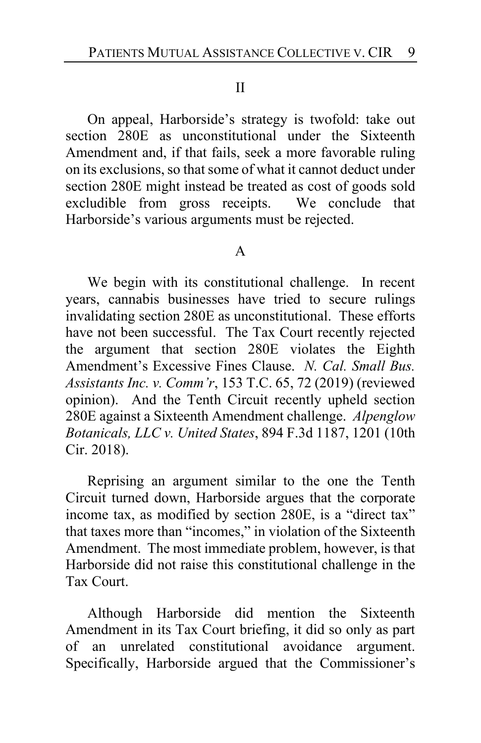#### II

On appeal, Harborside's strategy is twofold: take out section 280E as unconstitutional under the Sixteenth Amendment and, if that fails, seek a more favorable ruling on its exclusions, so that some of what it cannot deduct under section 280E might instead be treated as cost of goods sold excludible from gross receipts. We conclude that Harborside's various arguments must be rejected.

#### A

We begin with its constitutional challenge. In recent years, cannabis businesses have tried to secure rulings invalidating section 280E as unconstitutional. These efforts have not been successful. The Tax Court recently rejected the argument that section 280E violates the Eighth Amendment's Excessive Fines Clause. *N. Cal. Small Bus. Assistants Inc. v. Comm'r*, 153 T.C. 65, 72 (2019) (reviewed opinion). And the Tenth Circuit recently upheld section 280E against a Sixteenth Amendment challenge. *Alpenglow Botanicals, LLC v. United States*, 894 F.3d 1187, 1201 (10th Cir. 2018).

Reprising an argument similar to the one the Tenth Circuit turned down, Harborside argues that the corporate income tax, as modified by section 280E, is a "direct tax" that taxes more than "incomes," in violation of the Sixteenth Amendment. The most immediate problem, however, is that Harborside did not raise this constitutional challenge in the Tax Court.

Although Harborside did mention the Sixteenth Amendment in its Tax Court briefing, it did so only as part of an unrelated constitutional avoidance argument. Specifically, Harborside argued that the Commissioner's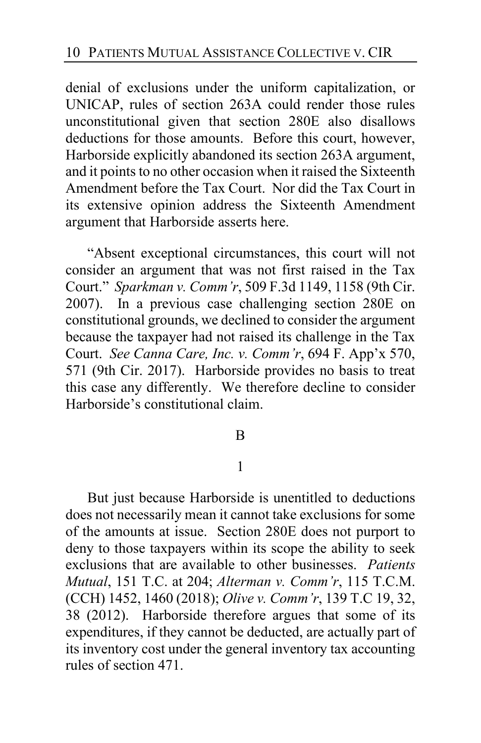denial of exclusions under the uniform capitalization, or UNICAP, rules of section 263A could render those rules unconstitutional given that section 280E also disallows deductions for those amounts. Before this court, however, Harborside explicitly abandoned its section 263A argument, and it points to no other occasion when it raised the Sixteenth Amendment before the Tax Court. Nor did the Tax Court in its extensive opinion address the Sixteenth Amendment argument that Harborside asserts here.

"Absent exceptional circumstances, this court will not consider an argument that was not first raised in the Tax Court." *Sparkman v. Comm'r*, 509 F.3d 1149, 1158 (9th Cir. 2007). In a previous case challenging section 280E on constitutional grounds, we declined to consider the argument because the taxpayer had not raised its challenge in the Tax Court. *See Canna Care, Inc. v. Comm'r*, 694 F. App'x 570, 571 (9th Cir. 2017). Harborside provides no basis to treat this case any differently. We therefore decline to consider Harborside's constitutional claim.

#### B

### 1

But just because Harborside is unentitled to deductions does not necessarily mean it cannot take exclusions for some of the amounts at issue. Section 280E does not purport to deny to those taxpayers within its scope the ability to seek exclusions that are available to other businesses. *Patients Mutual*, 151 T.C. at 204; *Alterman v. Comm'r*, 115 T.C.M. (CCH) 1452, 1460 (2018); *Olive v. Comm'r*, 139 T.C 19, 32, 38 (2012). Harborside therefore argues that some of its expenditures, if they cannot be deducted, are actually part of its inventory cost under the general inventory tax accounting rules of section 471.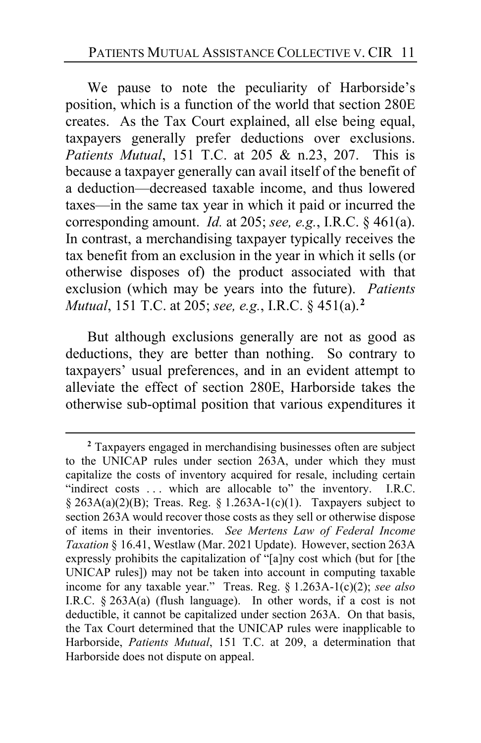We pause to note the peculiarity of Harborside's position, which is a function of the world that section 280E creates. As the Tax Court explained, all else being equal, taxpayers generally prefer deductions over exclusions. *Patients Mutual*, 151 T.C. at 205 & n.23, 207. This is because a taxpayer generally can avail itself of the benefit of a deduction—decreased taxable income, and thus lowered taxes—in the same tax year in which it paid or incurred the corresponding amount. *Id.* at 205; *see, e.g.*, I.R.C. § 461(a). In contrast, a merchandising taxpayer typically receives the tax benefit from an exclusion in the year in which it sells (or otherwise disposes of) the product associated with that exclusion (which may be years into the future). *Patients Mutual*, 151 T.C. at 205; *see, e.g.*, I.R.C. § 451(a).**[2](#page-10-0)**

But although exclusions generally are not as good as deductions, they are better than nothing. So contrary to taxpayers' usual preferences, and in an evident attempt to alleviate the effect of section 280E, Harborside takes the otherwise sub-optimal position that various expenditures it

<span id="page-10-0"></span>**<sup>2</sup>** Taxpayers engaged in merchandising businesses often are subject to the UNICAP rules under section 263A, under which they must capitalize the costs of inventory acquired for resale, including certain "indirect costs ... which are allocable to" the inventory. I.R.C. § 263A(a)(2)(B); Treas. Reg. § 1.263A-1(c)(1). Taxpayers subject to section 263A would recover those costs as they sell or otherwise dispose of items in their inventories. *See Mertens Law of Federal Income Taxation* § 16.41, Westlaw (Mar. 2021 Update). However, section 263A expressly prohibits the capitalization of "[a]ny cost which (but for [the UNICAP rules]) may not be taken into account in computing taxable income for any taxable year." Treas. Reg. § 1.263A-1(c)(2); *see also* I.R.C. § 263A(a) (flush language). In other words, if a cost is not deductible, it cannot be capitalized under section 263A. On that basis, the Tax Court determined that the UNICAP rules were inapplicable to Harborside, *Patients Mutual*, 151 T.C. at 209, a determination that Harborside does not dispute on appeal.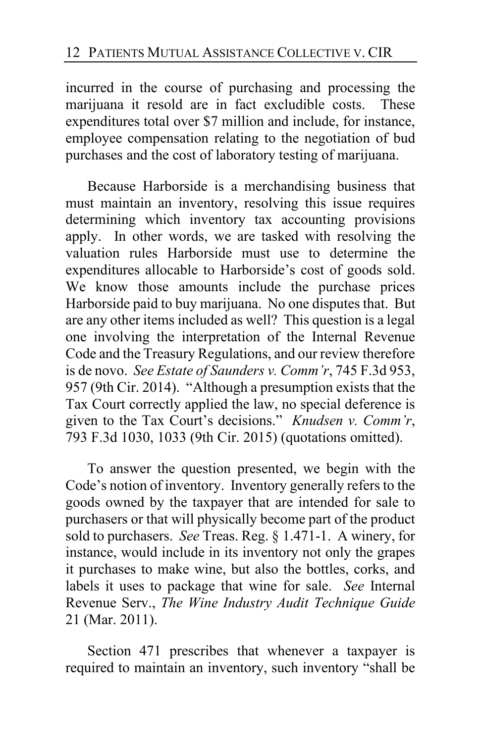incurred in the course of purchasing and processing the marijuana it resold are in fact excludible costs. These expenditures total over \$7 million and include, for instance, employee compensation relating to the negotiation of bud purchases and the cost of laboratory testing of marijuana.

Because Harborside is a merchandising business that must maintain an inventory, resolving this issue requires determining which inventory tax accounting provisions apply. In other words, we are tasked with resolving the valuation rules Harborside must use to determine the expenditures allocable to Harborside's cost of goods sold. We know those amounts include the purchase prices Harborside paid to buy marijuana. No one disputes that. But are any other items included as well? This question is a legal one involving the interpretation of the Internal Revenue Code and the Treasury Regulations, and our review therefore is de novo. *See Estate of Saunders v. Comm'r*, 745 F.3d 953, 957 (9th Cir. 2014). "Although a presumption exists that the Tax Court correctly applied the law, no special deference is given to the Tax Court's decisions." *Knudsen v. Comm'r*, 793 F.3d 1030, 1033 (9th Cir. 2015) (quotations omitted).

To answer the question presented, we begin with the Code's notion of inventory. Inventory generally refers to the goods owned by the taxpayer that are intended for sale to purchasers or that will physically become part of the product sold to purchasers. *See* Treas. Reg. § 1.471-1. A winery, for instance, would include in its inventory not only the grapes it purchases to make wine, but also the bottles, corks, and labels it uses to package that wine for sale. *See* Internal Revenue Serv., *The Wine Industry Audit Technique Guide*  21 (Mar. 2011).

Section 471 prescribes that whenever a taxpayer is required to maintain an inventory, such inventory "shall be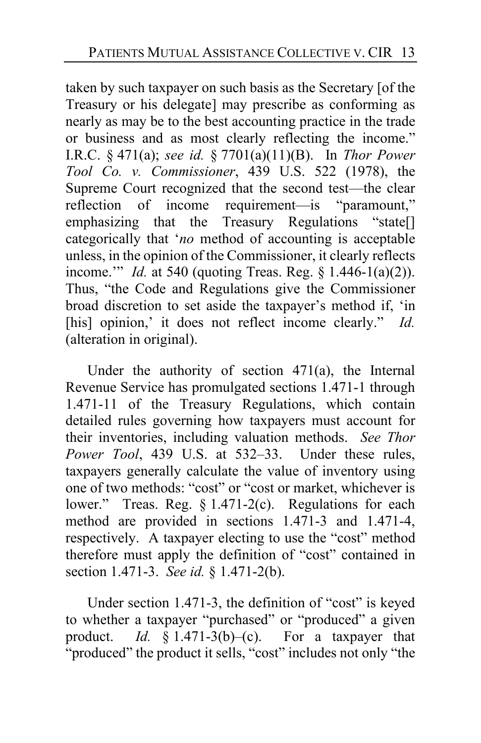taken by such taxpayer on such basis as the Secretary [of the Treasury or his delegate] may prescribe as conforming as nearly as may be to the best accounting practice in the trade or business and as most clearly reflecting the income." I.R.C. § 471(a); *see id.* § 7701(a)(11)(B). In *Thor Power Tool Co. v. Commissioner*, 439 U.S. 522 (1978), the Supreme Court recognized that the second test—the clear reflection of income requirement—is "paramount,"<br>emphasizing that the Treasury Regulations "state[] emphasizing that the Treasury Regulations categorically that '*no* method of accounting is acceptable unless, in the opinion of the Commissioner, it clearly reflects income.'" *Id.* at 540 (quoting Treas. Reg. § 1.446-1(a)(2)). Thus, "the Code and Regulations give the Commissioner broad discretion to set aside the taxpayer's method if, 'in [his] opinion,' it does not reflect income clearly." *Id.* (alteration in original).

Under the authority of section 471(a), the Internal Revenue Service has promulgated sections 1.471-1 through 1.471-11 of the Treasury Regulations, which contain detailed rules governing how taxpayers must account for their inventories, including valuation methods. *See Thor Power Tool*, 439 U.S. at 532–33. Under these rules, taxpayers generally calculate the value of inventory using one of two methods: "cost" or "cost or market, whichever is lower." Treas. Reg. § 1.471-2(c). Regulations for each method are provided in sections 1.471-3 and 1.471-4, respectively. A taxpayer electing to use the "cost" method therefore must apply the definition of "cost" contained in section 1.471-3. *See id.* § 1.471-2(b).

Under section 1.471-3, the definition of "cost" is keyed to whether a taxpayer "purchased" or "produced" a given product. *Id.* § 1.471-3(b)–(c). For a taxpayer that "produced" the product it sells, "cost" includes not only "the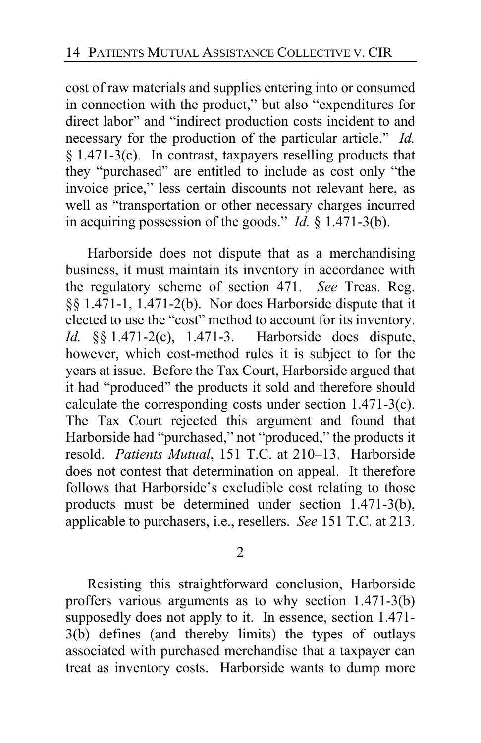cost of raw materials and supplies entering into or consumed in connection with the product," but also "expenditures for direct labor" and "indirect production costs incident to and necessary for the production of the particular article." *Id.*  $§$  1.471-3(c). In contrast, taxpayers reselling products that they "purchased" are entitled to include as cost only "the invoice price," less certain discounts not relevant here, as well as "transportation or other necessary charges incurred in acquiring possession of the goods." *Id.* § 1.471-3(b).

Harborside does not dispute that as a merchandising business, it must maintain its inventory in accordance with the regulatory scheme of section 471. *See* Treas. Reg. §§ 1.471-1, 1.471-2(b). Nor does Harborside dispute that it elected to use the "cost" method to account for its inventory. *Id.* §§ 1.471-2(c), 1.471-3. Harborside does dispute, however, which cost-method rules it is subject to for the years at issue. Before the Tax Court, Harborside argued that it had "produced" the products it sold and therefore should calculate the corresponding costs under section 1.471-3(c). The Tax Court rejected this argument and found that Harborside had "purchased," not "produced," the products it resold. *Patients Mutual*, 151 T.C. at 210–13. Harborside does not contest that determination on appeal. It therefore follows that Harborside's excludible cost relating to those products must be determined under section 1.471-3(b), applicable to purchasers, i.e., resellers. *See* 151 T.C. at 213.

2

Resisting this straightforward conclusion, Harborside proffers various arguments as to why section 1.471-3(b) supposedly does not apply to it. In essence, section 1.471-3(b) defines (and thereby limits) the types of outlays associated with purchased merchandise that a taxpayer can treat as inventory costs. Harborside wants to dump more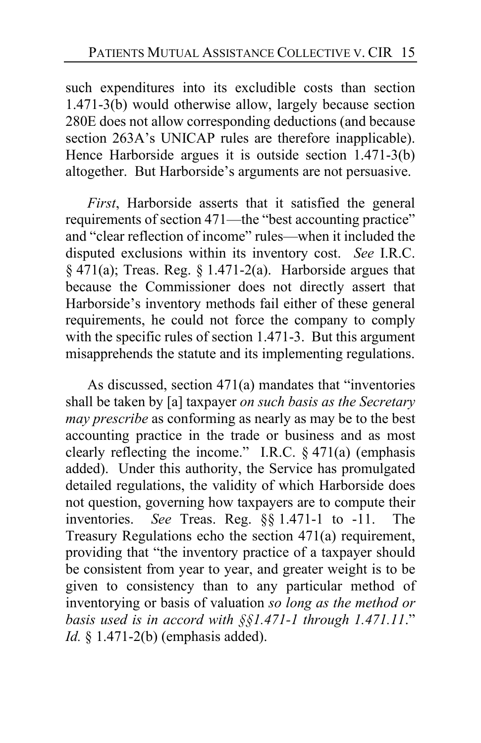such expenditures into its excludible costs than section 1.471-3(b) would otherwise allow, largely because section 280E does not allow corresponding deductions (and because section 263A's UNICAP rules are therefore inapplicable). Hence Harborside argues it is outside section 1.471-3(b) altogether. But Harborside's arguments are not persuasive.

*First*, Harborside asserts that it satisfied the general requirements of section 471—the "best accounting practice" and "clear reflection of income" rules—when it included the disputed exclusions within its inventory cost. *See* I.R.C.  $§$  471(a); Treas. Reg. § 1.471-2(a). Harborside argues that because the Commissioner does not directly assert that Harborside's inventory methods fail either of these general requirements, he could not force the company to comply with the specific rules of section 1.471-3. But this argument misapprehends the statute and its implementing regulations.

As discussed, section 471(a) mandates that "inventories shall be taken by [a] taxpayer *on such basis as the Secretary may prescribe* as conforming as nearly as may be to the best accounting practice in the trade or business and as most clearly reflecting the income." I.R.C.  $\S 471(a)$  (emphasis added). Under this authority, the Service has promulgated detailed regulations, the validity of which Harborside does not question, governing how taxpayers are to compute their inventories. *See* Treas. Reg. §§ 1.471-1 to -11. The Treasury Regulations echo the section 471(a) requirement, providing that "the inventory practice of a taxpayer should be consistent from year to year, and greater weight is to be given to consistency than to any particular method of inventorying or basis of valuation *so long as the method or basis used is in accord with §§1.471-1 through 1.471.11*." *Id.* § 1.471-2(b) (emphasis added).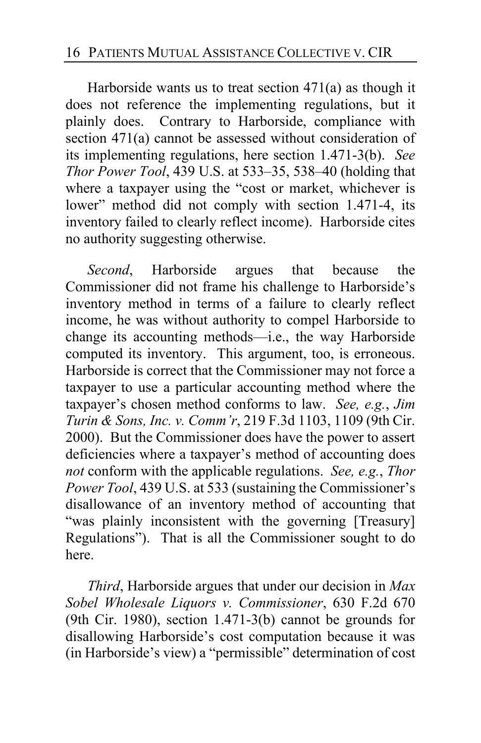Harborside wants us to treat section 471(a) as though it does not reference the implementing regulations, but it plainly does. Contrary to Harborside, compliance with section 471(a) cannot be assessed without consideration of its implementing regulations, here section 1.471-3(b). *See Thor Power Tool*, 439 U.S. at 533–35, 538–40 (holding that where a taxpayer using the "cost or market, whichever is lower" method did not comply with section 1.471-4, its inventory failed to clearly reflect income). Harborside cites no authority suggesting otherwise.

*Second*, Harborside argues that because the Commissioner did not frame his challenge to Harborside's inventory method in terms of a failure to clearly reflect income, he was without authority to compel Harborside to change its accounting methods—i.e., the way Harborside computed its inventory. This argument, too, is erroneous. Harborside is correct that the Commissioner may not force a taxpayer to use a particular accounting method where the taxpayer's chosen method conforms to law. *See, e.g.*, *Jim Turin & Sons, Inc. v. Comm'r*, 219 F.3d 1103, 1109 (9th Cir. 2000). But the Commissioner does have the power to assert deficiencies where a taxpayer's method of accounting does *not* conform with the applicable regulations. *See, e.g.*, *Thor Power Tool*, 439 U.S. at 533 (sustaining the Commissioner's disallowance of an inventory method of accounting that "was plainly inconsistent with the governing [Treasury] Regulations"). That is all the Commissioner sought to do here.

*Third*, Harborside argues that under our decision in *Max Sobel Wholesale Liquors v. Commissioner*, 630 F.2d 670 (9th Cir. 1980), section 1.471-3(b) cannot be grounds for disallowing Harborside's cost computation because it was (in Harborside's view) a "permissible" determination of cost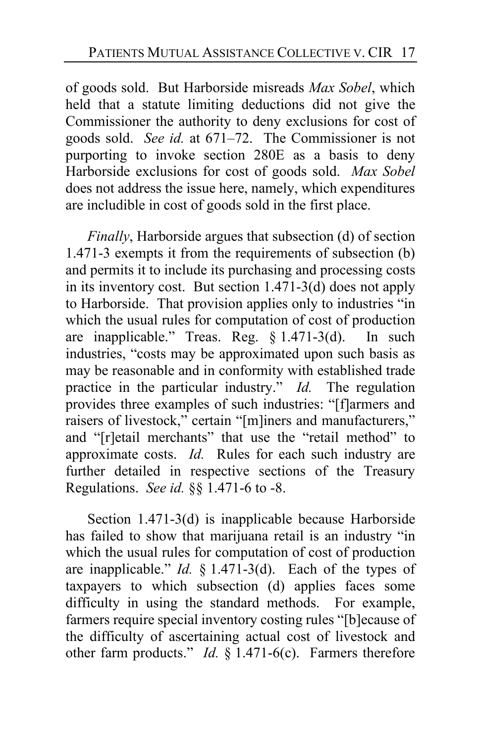of goods sold. But Harborside misreads *Max Sobel*, which held that a statute limiting deductions did not give the Commissioner the authority to deny exclusions for cost of goods sold. *See id.* at 671–72. The Commissioner is not purporting to invoke section 280E as a basis to deny Harborside exclusions for cost of goods sold. *Max Sobel* does not address the issue here, namely, which expenditures are includible in cost of goods sold in the first place.

*Finally*, Harborside argues that subsection (d) of section 1.471-3 exempts it from the requirements of subsection (b) and permits it to include its purchasing and processing costs in its inventory cost. But section 1.471-3(d) does not apply to Harborside. That provision applies only to industries "in which the usual rules for computation of cost of production are inapplicable." Treas. Reg. § 1.471-3(d). In such industries, "costs may be approximated upon such basis as may be reasonable and in conformity with established trade practice in the particular industry." *Id.* The regulation provides three examples of such industries: "[f]armers and raisers of livestock," certain "[m]iners and manufacturers," and "[r]etail merchants" that use the "retail method" to approximate costs. *Id.* Rules for each such industry are further detailed in respective sections of the Treasury Regulations. *See id.* §§ 1.471-6 to -8.

Section 1.471-3(d) is inapplicable because Harborside has failed to show that marijuana retail is an industry "in which the usual rules for computation of cost of production are inapplicable." *Id.* § 1.471-3(d). Each of the types of taxpayers to which subsection (d) applies faces some difficulty in using the standard methods. For example, farmers require special inventory costing rules "[b]ecause of the difficulty of ascertaining actual cost of livestock and other farm products." *Id.* § 1.471-6(c). Farmers therefore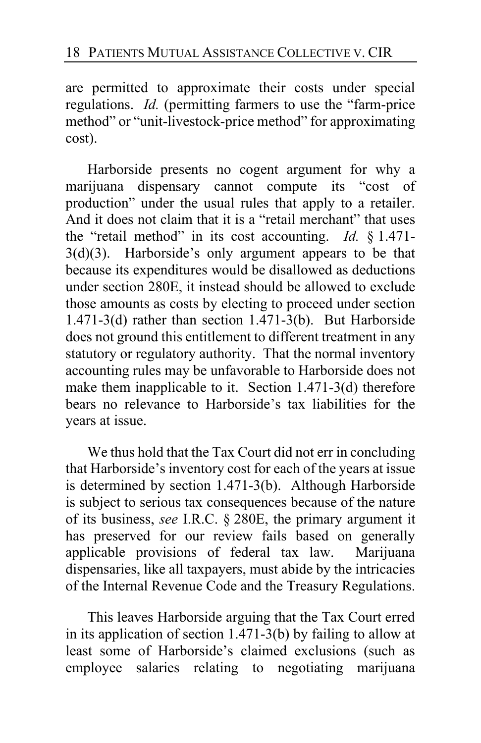are permitted to approximate their costs under special regulations. *Id.* (permitting farmers to use the "farm-price method" or "unit-livestock-price method" for approximating cost).

Harborside presents no cogent argument for why a marijuana dispensary cannot compute its "cost of production" under the usual rules that apply to a retailer. And it does not claim that it is a "retail merchant" that uses the "retail method" in its cost accounting. *Id.* § 1.471-  $3(d)(3)$ . Harborside's only argument appears to be that because its expenditures would be disallowed as deductions under section 280E, it instead should be allowed to exclude those amounts as costs by electing to proceed under section 1.471-3(d) rather than section 1.471-3(b). But Harborside does not ground this entitlement to different treatment in any statutory or regulatory authority. That the normal inventory accounting rules may be unfavorable to Harborside does not make them inapplicable to it. Section 1.471-3(d) therefore bears no relevance to Harborside's tax liabilities for the years at issue.

We thus hold that the Tax Court did not err in concluding that Harborside's inventory cost for each of the years at issue is determined by section 1.471-3(b). Although Harborside is subject to serious tax consequences because of the nature of its business, *see* I.R.C. § 280E, the primary argument it has preserved for our review fails based on generally applicable provisions of federal tax law. Marijuana dispensaries, like all taxpayers, must abide by the intricacies of the Internal Revenue Code and the Treasury Regulations.

This leaves Harborside arguing that the Tax Court erred in its application of section 1.471-3(b) by failing to allow at least some of Harborside's claimed exclusions (such as employee salaries relating to negotiating marijuana